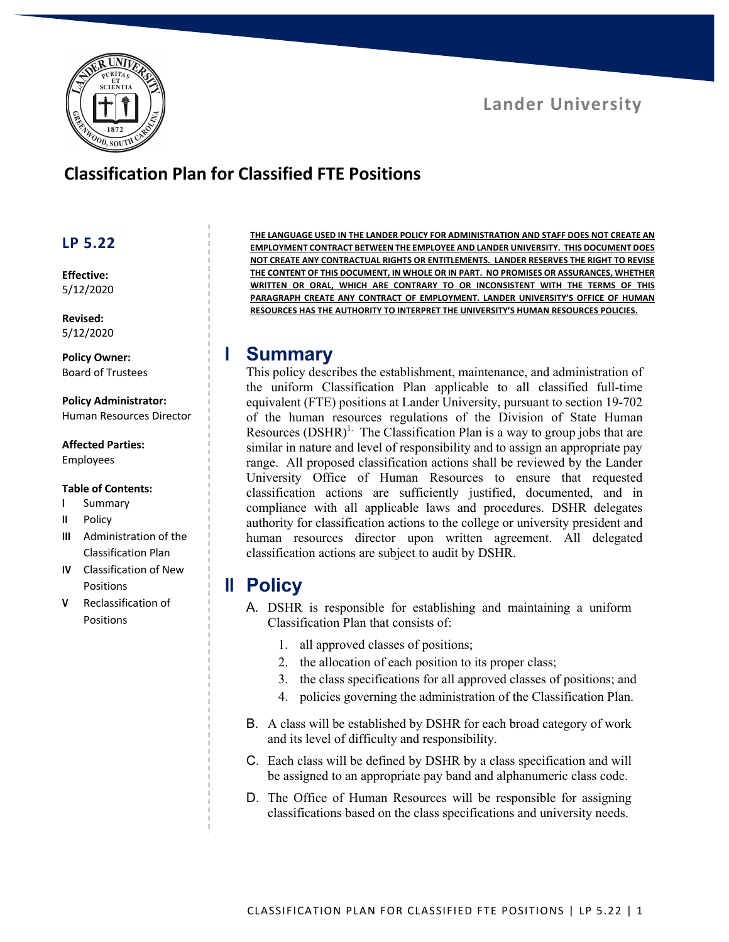



# **Classification Plan for Classified FTE Positions**

## **LP 5.22**

**Effective:** 5/12/2020

**Revised:** 5/12/2020

**Policy Owner:** Board of Trustees

**Policy Administrator:** Human Resources Director

### **Affected Parties:**

Employees

#### **Table of Contents:**

- **I** Summary
- **II** Policy
- **III** Administration of the Classification Plan
- **IV** Classification of New Positions
- **V** Reclassification of Positions

**THE LANGUAGE USED IN THE LANDER POLICY FOR ADMINISTRATION AND STAFF DOES NOT CREATE AN EMPLOYMENT CONTRACT BETWEEN THE EMPLOYEE AND LANDER UNIVERSITY. THIS DOCUMENT DOES NOT CREATE ANY CONTRACTUAL RIGHTS OR ENTITLEMENTS. LANDER RESERVES THE RIGHT TO REVISE THE CONTENT OF THIS DOCUMENT, IN WHOLE OR IN PART. NO PROMISES OR ASSURANCES, WHETHER WRITTEN OR ORAL, WHICH ARE CONTRARY TO OR INCONSISTENT WITH THE TERMS OF THIS PARAGRAPH CREATE ANY CONTRACT OF EMPLOYMENT. LANDER UNIVERSITY'S OFFICE OF HUMAN RESOURCES HAS THE AUTHORITY TO INTERPRET THE UNIVERSITY'S HUMAN RESOURCES POLICIES.**

## **I Summary**

This policy describes the establishment, maintenance, and administration of the uniform Classification Plan applicable to all classified full-time equivalent (FTE) positions at Lander University, pursuant to section 19-702 of the human resources regulations of the Division of State Human Resources  $(DSHR)^{1}$ . The Classification Plan is a way to group jobs that are similar in nature and level of responsibility and to assign an appropriate pay range. All proposed classification actions shall be reviewed by the Lander University Office of Human Resources to ensure that requested classification actions are sufficiently justified, documented, and in compliance with all applicable laws and procedures. DSHR delegates authority for classification actions to the college or university president and human resources director upon written agreement. All delegated classification actions are subject to audit by DSHR.

## **II Policy**

- A. DSHR is responsible for establishing and maintaining a uniform Classification Plan that consists of:
	- 1. all approved classes of positions;
	- 2. the allocation of each position to its proper class;
	- 3. the class specifications for all approved classes of positions; and
	- 4. policies governing the administration of the Classification Plan.
- B. A class will be established by DSHR for each broad category of work and its level of difficulty and responsibility.
- C. Each class will be defined by DSHR by a class specification and will be assigned to an appropriate pay band and alphanumeric class code.
- D. The Office of Human Resources will be responsible for assigning classifications based on the class specifications and university needs.